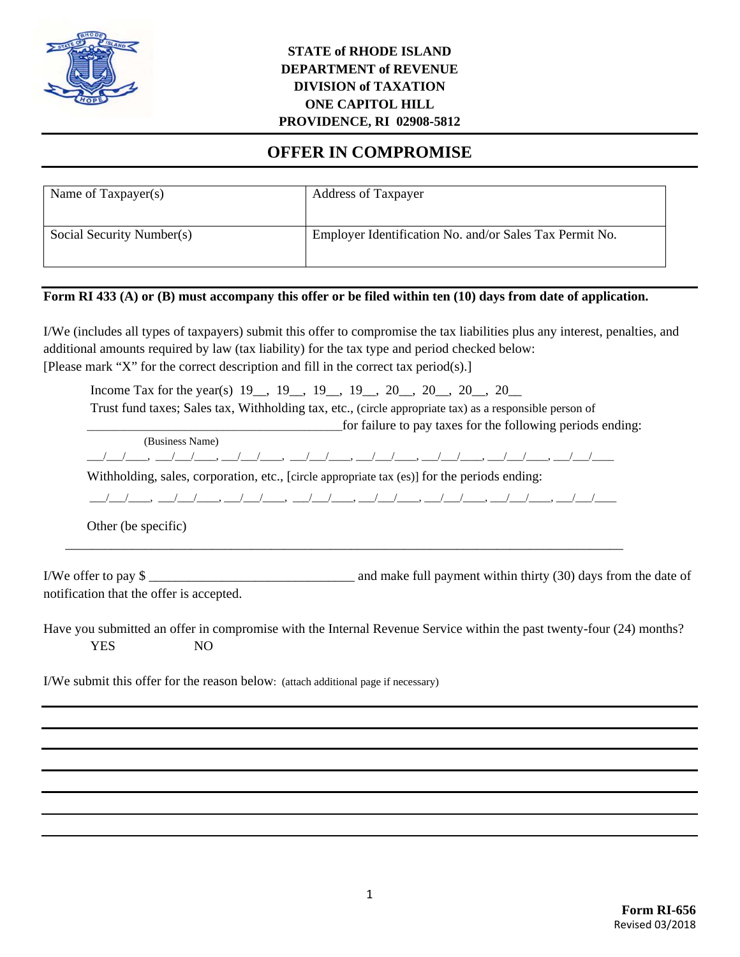

### **STATE of RHODE ISLAND DEPARTMENT of REVENUE DIVISION of TAXATION ONE CAPITOL HILL PROVIDENCE, RI 02908-5812**

# **OFFER IN COMPROMISE**

| Name of Taxpayer(s)       | <b>Address of Taxpayer</b>                              |
|---------------------------|---------------------------------------------------------|
| Social Security Number(s) | Employer Identification No. and/or Sales Tax Permit No. |

#### **Form RI 433 (A) or (B) must accompany this offer or be filed within ten (10) days from date of application.**

I/We (includes all types of taxpayers) submit this offer to compromise the tax liabilities plus any interest, penalties, and additional amounts required by law (tax liability) for the tax type and period checked below: [Please mark "X" for the correct description and fill in the correct tax period(s).]

Income Tax for the year(s) 19\_, 19\_, 19\_, 19\_, 20\_, 20\_, 20\_, 20\_ Trust fund taxes; Sales tax, Withholding tax, etc., (circle appropriate tax) as a responsible person of \_\_\_\_\_\_\_\_\_\_\_\_\_\_\_\_\_\_\_\_\_\_\_\_\_\_\_\_\_\_\_\_\_\_\_\_\_\_\_\_\_\_\_\_\_\_\_for failure to pay taxes for the following periods ending: (Business Name) \_\_\_/\_\_\_/\_\_\_\_, \_\_\_/\_\_\_/\_\_\_\_, \_\_\_/\_\_\_/\_\_\_\_, \_\_\_/\_\_\_/\_\_\_\_, \_\_\_/\_\_\_/\_\_\_\_, \_\_\_/\_\_\_/\_\_\_\_, \_\_\_/\_\_\_/\_\_\_\_, \_\_\_/\_\_\_/\_\_\_\_

Withholding, sales, corporation, etc., [circle appropriate tax (es)] for the periods ending:

\_\_\_/\_\_\_/\_\_\_\_, \_\_\_/\_\_\_/\_\_\_\_, \_\_\_/\_\_\_/\_\_\_\_, \_\_\_/\_\_\_/\_\_\_\_, \_\_\_/\_\_\_/\_\_\_\_, \_\_\_/\_\_\_/\_\_\_\_, \_\_\_/\_\_\_/\_\_\_\_, \_\_\_/\_\_\_/\_\_\_\_

\_\_\_\_\_\_\_\_\_\_\_\_\_\_\_\_\_\_\_\_\_\_\_\_\_\_\_\_\_\_\_\_\_\_\_\_\_\_\_\_\_\_\_\_\_\_\_\_\_\_\_\_\_\_\_\_\_\_\_\_\_\_\_\_\_\_\_\_\_\_\_\_\_\_\_\_\_\_\_\_\_\_\_\_

Other (be specific)

I/We offer to pay \$ notification that the offer is accepted.

Have you submitted an offer in compromise with the Internal Revenue Service within the past twenty-four (24) months? YES NO

I/We submit this offer for the reason below: (attach additional page if necessary)